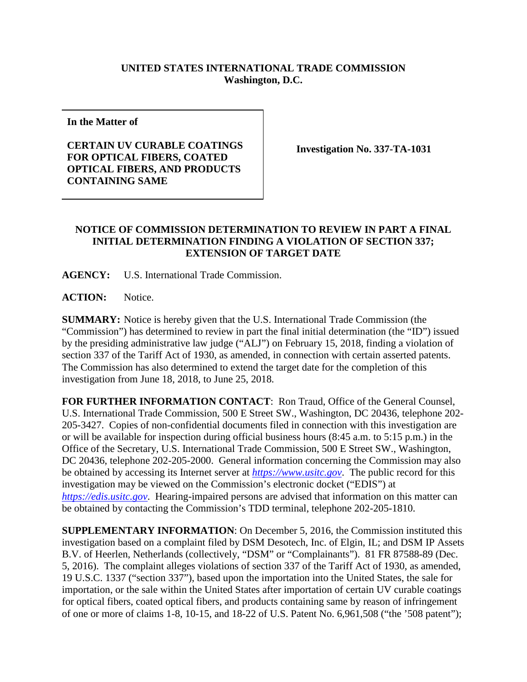## **UNITED STATES INTERNATIONAL TRADE COMMISSION Washington, D.C.**

**In the Matter of**

**CERTAIN UV CURABLE COATINGS FOR OPTICAL FIBERS, COATED OPTICAL FIBERS, AND PRODUCTS CONTAINING SAME**

**Investigation No. 337-TA-1031**

## **NOTICE OF COMMISSION DETERMINATION TO REVIEW IN PART A FINAL INITIAL DETERMINATION FINDING A VIOLATION OF SECTION 337; EXTENSION OF TARGET DATE**

**AGENCY:** U.S. International Trade Commission.

**ACTION:** Notice.

**SUMMARY:** Notice is hereby given that the U.S. International Trade Commission (the "Commission") has determined to review in part the final initial determination (the "ID") issued by the presiding administrative law judge ("ALJ") on February 15, 2018, finding a violation of section 337 of the Tariff Act of 1930, as amended, in connection with certain asserted patents. The Commission has also determined to extend the target date for the completion of this investigation from June 18, 2018, to June 25, 2018.

**FOR FURTHER INFORMATION CONTACT**: Ron Traud, Office of the General Counsel, U.S. International Trade Commission, 500 E Street SW., Washington, DC 20436, telephone 202- 205-3427. Copies of non-confidential documents filed in connection with this investigation are or will be available for inspection during official business hours (8:45 a.m. to 5:15 p.m.) in the Office of the Secretary, U.S. International Trade Commission, 500 E Street SW., Washington, DC 20436, telephone 202-205-2000. General information concerning the Commission may also be obtained by accessing its Internet server at *[https://www.usitc.gov](https://www.usitc.gov/)*. The public record for this investigation may be viewed on the Commission's electronic docket ("EDIS") at *[https://edis.usitc.gov](https://edis.usitc.gov/)*. Hearing-impaired persons are advised that information on this matter can be obtained by contacting the Commission's TDD terminal, telephone 202-205-1810.

**SUPPLEMENTARY INFORMATION**: On December 5, 2016, the Commission instituted this investigation based on a complaint filed by DSM Desotech, Inc. of Elgin, IL; and DSM IP Assets B.V. of Heerlen, Netherlands (collectively, "DSM" or "Complainants"). 81 FR 87588-89 (Dec. 5, 2016). The complaint alleges violations of section 337 of the Tariff Act of 1930, as amended, 19 U.S.C. 1337 ("section 337"), based upon the importation into the United States, the sale for importation, or the sale within the United States after importation of certain UV curable coatings for optical fibers, coated optical fibers, and products containing same by reason of infringement of one or more of claims 1-8, 10-15, and 18-22 of U.S. Patent No. 6,961,508 ("the '508 patent");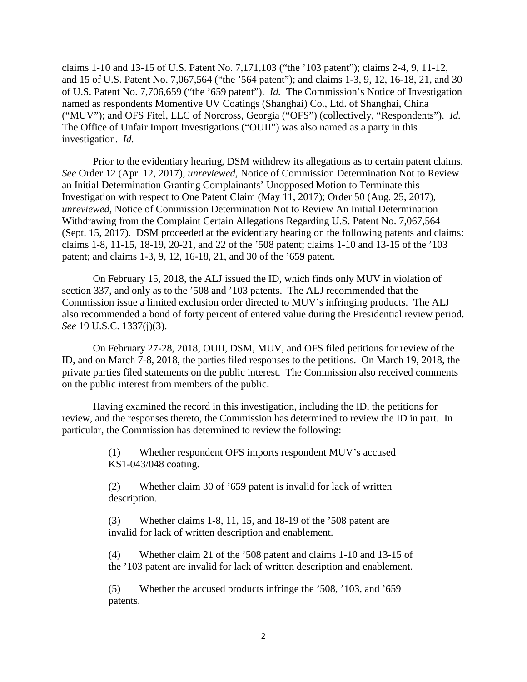claims 1-10 and 13-15 of U.S. Patent No. 7,171,103 ("the '103 patent"); claims 2-4, 9, 11-12, and 15 of U.S. Patent No. 7,067,564 ("the '564 patent"); and claims 1-3, 9, 12, 16-18, 21, and 30 of U.S. Patent No. 7,706,659 ("the '659 patent"). *Id.* The Commission's Notice of Investigation named as respondents Momentive UV Coatings (Shanghai) Co., Ltd. of Shanghai, China ("MUV"); and OFS Fitel, LLC of Norcross, Georgia ("OFS") (collectively, "Respondents"). *Id.* The Office of Unfair Import Investigations ("OUII") was also named as a party in this investigation. *Id.*

Prior to the evidentiary hearing, DSM withdrew its allegations as to certain patent claims. *See* Order 12 (Apr. 12, 2017), *unreviewed*, Notice of Commission Determination Not to Review an Initial Determination Granting Complainants' Unopposed Motion to Terminate this Investigation with respect to One Patent Claim (May 11, 2017); Order 50 (Aug. 25, 2017), *unreviewed*, Notice of Commission Determination Not to Review An Initial Determination Withdrawing from the Complaint Certain Allegations Regarding U.S. Patent No. 7,067,564 (Sept. 15, 2017). DSM proceeded at the evidentiary hearing on the following patents and claims: claims 1-8, 11-15, 18-19, 20-21, and 22 of the '508 patent; claims 1-10 and 13-15 of the '103 patent; and claims 1-3, 9, 12, 16-18, 21, and 30 of the '659 patent.

On February 15, 2018, the ALJ issued the ID, which finds only MUV in violation of section 337, and only as to the '508 and '103 patents. The ALJ recommended that the Commission issue a limited exclusion order directed to MUV's infringing products. The ALJ also recommended a bond of forty percent of entered value during the Presidential review period. *See* 19 U.S.C. 1337(j)(3).

On February 27-28, 2018, OUII, DSM, MUV, and OFS filed petitions for review of the ID, and on March 7-8, 2018, the parties filed responses to the petitions. On March 19, 2018, the private parties filed statements on the public interest. The Commission also received comments on the public interest from members of the public.

Having examined the record in this investigation, including the ID, the petitions for review, and the responses thereto, the Commission has determined to review the ID in part. In particular, the Commission has determined to review the following:

> (1) Whether respondent OFS imports respondent MUV's accused KS1-043/048 coating.

(2) Whether claim 30 of '659 patent is invalid for lack of written description.

(3) Whether claims 1-8, 11, 15, and 18-19 of the '508 patent are invalid for lack of written description and enablement.

(4) Whether claim 21 of the '508 patent and claims 1-10 and 13-15 of the '103 patent are invalid for lack of written description and enablement.

(5) Whether the accused products infringe the '508, '103, and '659 patents.